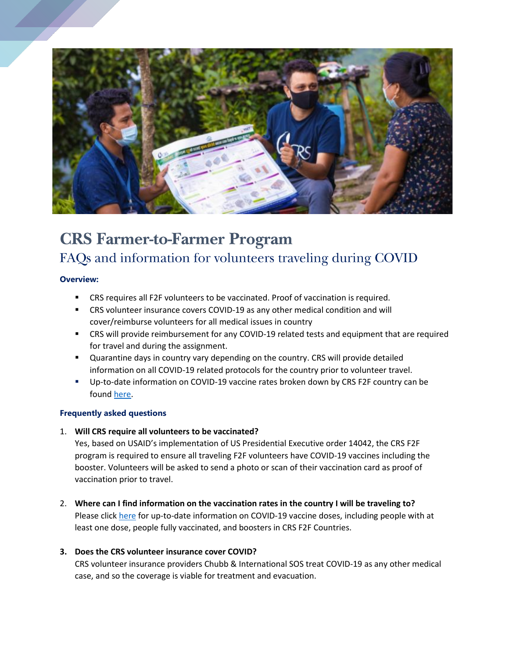

# **CRS Farmer-to-Farmer Program** FAQs and information for volunteers traveling during COVID

# **Overview:**

- CRS requires all F2F volunteers to be vaccinated. Proof of vaccination is required.
- CRS volunteer insurance covers COVID-19 as any other medical condition and will cover/reimburse volunteers for all medical issues in country
- **EXECT AT A FORMOT COVID-19** related tests and equipment that are required for travel and during the assignment.
- Quarantine days in country vary depending on the country. CRS will provide detailed information on all COVID-19 related protocols for the country prior to volunteer travel.
- Up-to-date information on COVID-19 vaccine rates broken down by CRS F2F country can be found [here.](https://ourworldindata.org/explorers/coronavirus-data-explorer?time=latest&uniformYAxis=0&pickerSort=asc&pickerMetric=location&Interval=7-day+rolling+average&Relative+to+Population=true&Color+by+test+positivity=false&country=ETH~BEN~TLS~NPL~RWA~USA&Metric=Vaccine+doses%2C+people+vaccinated%2C+and+booster+doses)

## **Frequently asked questions**

## 1. **Will CRS require all volunteers to be vaccinated?**

Yes, based on USAID's implementation of US Presidential Executive order 14042, the CRS F2F program is required to ensure all traveling F2F volunteers have COVID-19 vaccines including the booster. Volunteers will be asked to send a photo or scan of their vaccination card as proof of vaccination prior to travel.

2. **Where can I find information on the vaccination rates in the country I will be traveling to?**  Please click [here](https://ourworldindata.org/explorers/coronavirus-data-explorer?time=latest&uniformYAxis=0&pickerSort=asc&pickerMetric=location&Interval=7-day+rolling+average&Relative+to+Population=true&Color+by+test+positivity=false&country=ETH~BEN~TLS~NPL~RWA~USA&Metric=Vaccine+doses%2C+people+vaccinated%2C+and+booster+doses) for up-to-date information on COVID-19 vaccine doses, including people with at least one dose, people fully vaccinated, and boosters in CRS F2F Countries.

## **3. Does the CRS volunteer insurance cover COVID?**

CRS volunteer insurance providers Chubb & International SOS treat COVID-19 as any other medical case, and so the coverage is viable for treatment and evacuation.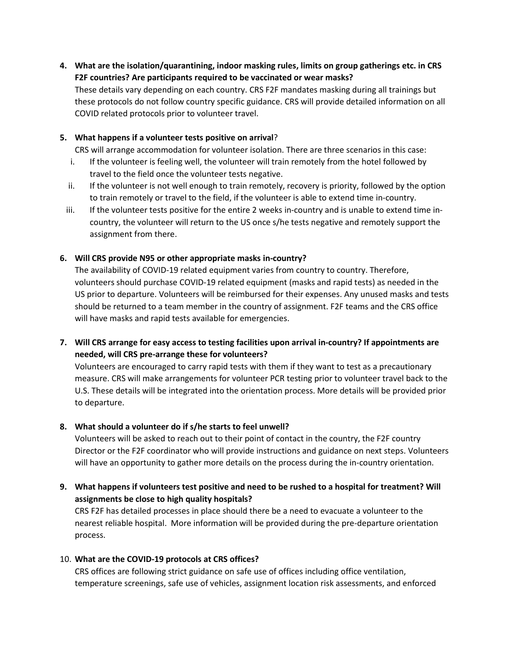**4. What are the isolation/quarantining, indoor masking rules, limits on group gatherings etc. in CRS F2F countries? Are participants required to be vaccinated or wear masks?**

These details vary depending on each country. CRS F2F mandates masking during all trainings but these protocols do not follow country specific guidance. CRS will provide detailed information on all COVID related protocols prior to volunteer travel.

# **5. What happens if a volunteer tests positive on arrival**?

CRS will arrange accommodation for volunteer isolation. There are three scenarios in this case:

- i. If the volunteer is feeling well, the volunteer will train remotely from the hotel followed by travel to the field once the volunteer tests negative.
- ii. If the volunteer is not well enough to train remotely, recovery is priority, followed by the option to train remotely or travel to the field, if the volunteer is able to extend time in-country.
- iii. If the volunteer tests positive for the entire 2 weeks in-country and is unable to extend time incountry, the volunteer will return to the US once s/he tests negative and remotely support the assignment from there.

# **6. Will CRS provide N95 or other appropriate masks in-country?**

The availability of COVID-19 related equipment varies from country to country. Therefore, volunteers should purchase COVID-19 related equipment (masks and rapid tests) as needed in the US prior to departure. Volunteers will be reimbursed for their expenses. Any unused masks and tests should be returned to a team member in the country of assignment. F2F teams and the CRS office will have masks and rapid tests available for emergencies.

**7. Will CRS arrange for easy access to testing facilities upon arrival in-country? If appointments are needed, will CRS pre-arrange these for volunteers?** 

Volunteers are encouraged to carry rapid tests with them if they want to test as a precautionary measure. CRS will make arrangements for volunteer PCR testing prior to volunteer travel back to the U.S. These details will be integrated into the orientation process. More details will be provided prior to departure.

## **8. What should a volunteer do if s/he starts to feel unwell?**

Volunteers will be asked to reach out to their point of contact in the country, the F2F country Director or the F2F coordinator who will provide instructions and guidance on next steps. Volunteers will have an opportunity to gather more details on the process during the in-country orientation.

**9. What happens if volunteers test positive and need to be rushed to a hospital for treatment? Will assignments be close to high quality hospitals?** 

CRS F2F has detailed processes in place should there be a need to evacuate a volunteer to the nearest reliable hospital. More information will be provided during the pre-departure orientation process.

## 10. **What are the COVID-19 protocols at CRS offices?**

CRS offices are following strict guidance on safe use of offices including office ventilation, temperature screenings, safe use of vehicles, assignment location risk assessments, and enforced